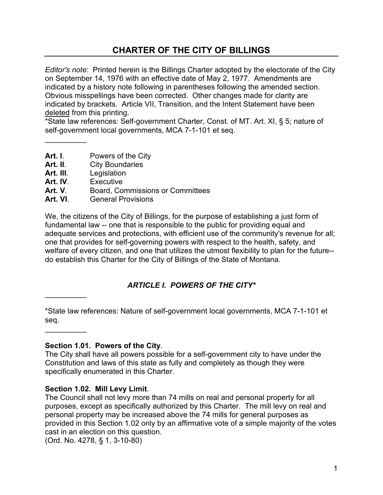# **CHARTER OF THE CITY OF BILLINGS**

*Editor's note*: Printed herein is the Billings Charter adopted by the electorate of the City on September 14, 1976 with an effective date of May 2, 1977. Amendments are indicated by a history note following in parentheses following the amended section. Obvious misspellings have been corrected. Other changes made for clarity are indicated by brackets. Article VII, Transition, and the Intent Statement have been deleted from this printing.

\*State law references: Self-government Charter, Const. of MT. Art. XI, § 5; nature of self-government local governments, MCA 7-1-101 et seq.

**Art. I**. Powers of the City

- Art. II. City Boundaries
- 
- **Art. III.** Legislation<br>**Art. IV** Fxecutive **Fxecutive**

 $\overline{\phantom{a}}$ 

 $\overline{\phantom{a}}$ 

\_\_\_\_\_\_\_\_\_\_

- **Art. V**. Board, Commissions or Committees
- **Art. VI**. General Provisions

We, the citizens of the City of Billings, for the purpose of establishing a just form of fundamental law -- one that is responsible to the public for providing equal and adequate services and protections, with efficient use of the community's revenue for all; one that provides for self-governing powers with respect to the health, safety, and welfare of every citizen, and one that utilizes the utmost flexibility to plan for the future- do establish this Charter for the City of Billings of the State of Montana.

## *ARTICLE I. POWERS OF THE CITY\**

\*State law references: Nature of self-government local governments, MCA 7-1-101 et seq.

**Section 1.01. Powers of the City**.

The City shall have all powers possible for a self-government city to have under the Constitution and laws of this state as fully and completely as though they were specifically enumerated in this Charter.

### **Section 1.02. Mill Levy Limit**.

The Council shall not levy more than 74 mills on real and personal property for all purposes, except as specifically authorized by this Charter. The mill levy on real and personal property may be increased above the 74 mills for general purposes as provided in this Section 1.02 only by an affirmative vote of a simple majority of the votes cast in an election on this question.

(Ord. No. 4278, § 1, 3-10-80)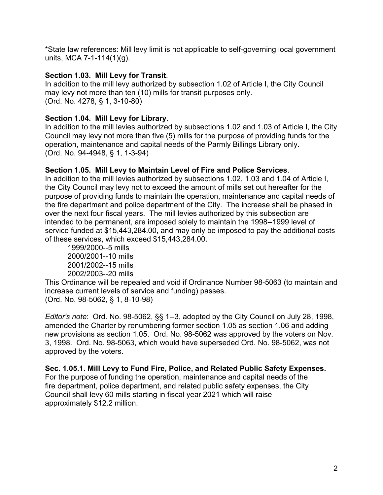\*State law references: Mill levy limit is not applicable to self-governing local government units, MCA 7-1-114(1)(g).

## **Section 1.03. Mill Levy for Transit**.

In addition to the mill levy authorized by subsection 1.02 of Article I, the City Council may levy not more than ten (10) mills for transit purposes only. (Ord. No. 4278, § 1, 3-10-80)

## **Section 1.04. Mill Levy for Library**.

In addition to the mill levies authorized by subsections 1.02 and 1.03 of Article I, the City Council may levy not more than five (5) mills for the purpose of providing funds for the operation, maintenance and capital needs of the Parmly Billings Library only. (Ord. No. 94-4948, § 1, 1-3-94)

## **Section 1.05. Mill Levy to Maintain Level of Fire and Police Services**.

In addition to the mill levies authorized by subsections 1.02, 1.03 and 1.04 of Article I, the City Council may levy not to exceed the amount of mills set out hereafter for the purpose of providing funds to maintain the operation, maintenance and capital needs of the fire department and police department of the City. The increase shall be phased in over the next four fiscal years. The mill levies authorized by this subsection are intended to be permanent, are imposed solely to maintain the 1998--1999 level of service funded at \$15,443,284.00, and may only be imposed to pay the additional costs of these services, which exceed \$15,443,284.00.

1999/2000--5 mills 2000/2001--10 mills 2001/2002--15 mills 2002/2003--20 mills

This Ordinance will be repealed and void if Ordinance Number 98-5063 (to maintain and increase current levels of service and funding) passes. (Ord. No. 98-5062, § 1, 8-10-98)

*Editor's note*: Ord. No. 98-5062, §§ 1--3, adopted by the City Council on July 28, 1998, amended the Charter by renumbering former section 1.05 as section 1.06 and adding new provisions as section 1.05. Ord. No. 98-5062 was approved by the voters on Nov. 3, 1998. Ord. No. 98-5063, which would have superseded Ord. No. 98-5062, was not approved by the voters.

**Sec. 1.05.1. Mill Levy to Fund Fire, Police, and Related Public Safety Expenses.**  For the purpose of funding the operation, maintenance and capital needs of the fire department, police department, and related public safety expenses, the City Council shall levy 60 mills starting in fiscal year 2021 which will raise approximately \$12.2 million.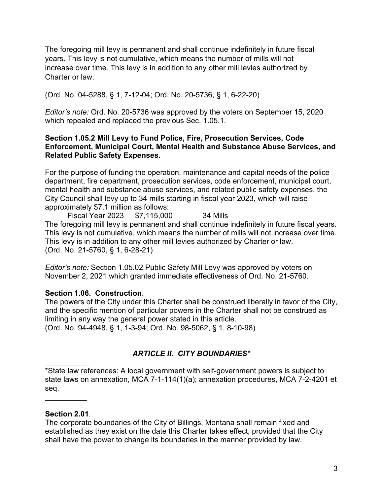The foregoing mill levy is permanent and shall continue indefinitely in future fiscal years. This levy is not cumulative, which means the number of mills will not increase over time. This levy is in addition to any other mill levies authorized by Charter or law.

(Ord. No. 04-5288, § 1, 7-12-04; Ord. No. 20-5736, § 1, 6-22-20)

*Editor's note:* Ord. No. 20-5736 was approved by the voters on September 15, 2020 which repealed and replaced the previous Sec. 1.05.1.

#### **Section 1.05.2 Mill Levy to Fund Police, Fire, Prosecution Services, Code Enforcement, Municipal Court, Mental Health and Substance Abuse Services, and Related Public Safety Expenses.**

For the purpose of funding the operation, maintenance and capital needs of the police department, fire department, prosecution services, code enforcement, municipal court, mental health and substance abuse services, and related public safety expenses, the City Council shall levy up to 34 mills starting in fiscal year 2023, which will raise approximately \$7.1 million as follows:

Fiscal Year 2023 \$7,115,000 34 Mills The foregoing mill levy is permanent and shall continue indefinitely in future fiscal years. This levy is not cumulative, which means the number of mills will not increase over time. This levy is in addition to any other mill levies authorized by Charter or law. (Ord. No. 21-5760, § 1, 6-28-21)

*Editor's note:* Section 1.05.02 Public Safety Mill Levy was approved by voters on November 2, 2021 which granted immediate effectiveness of Ord. No. 21-5760.

#### **Section 1.06. Construction**.

The powers of the City under this Charter shall be construed liberally in favor of the City, and the specific mention of particular powers in the Charter shall not be construed as limiting in any way the general power stated in this article. (Ord. No. 94-4948, § 1, 1-3-94; Ord. No. 98-5062, § 1, 8-10-98)

### *ARTICLE II. CITY BOUNDARIES\**

 $\overline{\phantom{a}}$ \*State law references: A local government with self-government powers is subject to state laws on annexation, MCA 7-1-114(1)(a); annexation procedures, MCA 7-2-4201 et seq.

#### **Section 2.01**.

 $\overline{\phantom{a}}$ 

The corporate boundaries of the City of Billings, Montana shall remain fixed and established as they exist on the date this Charter takes effect, provided that the City shall have the power to change its boundaries in the manner provided by law.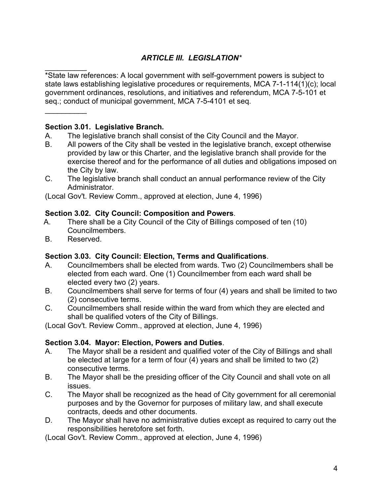# *ARTICLE III. LEGISLATION\**

 $\overline{\phantom{a}}$ \*State law references: A local government with self-government powers is subject to state laws establishing legislative procedures or requirements, MCA 7-1-114(1)(c); local government ordinances, resolutions, and initiatives and referendum, MCA 7-5-101 et seq.; conduct of municipal government, MCA 7-5-4101 et seq.

### **Section 3.01. Legislative Branch.**

- A. The legislative branch shall consist of the City Council and the Mayor.
- B. All powers of the City shall be vested in the legislative branch, except otherwise provided by law or this Charter, and the legislative branch shall provide for the exercise thereof and for the performance of all duties and obligations imposed on the City by law.
- C. The legislative branch shall conduct an annual performance review of the City Administrator.

(Local Gov't. Review Comm., approved at election, June 4, 1996)

#### **Section 3.02. City Council: Composition and Powers**.

- A. There shall be a City Council of the City of Billings composed of ten (10) Councilmembers.
- B. Reserved.

 $\overline{\phantom{a}}$ 

### **Section 3.03. City Council: Election, Terms and Qualifications**.

- A. Councilmembers shall be elected from wards. Two (2) Councilmembers shall be elected from each ward. One (1) Councilmember from each ward shall be elected every two (2) years.
- B. Councilmembers shall serve for terms of four (4) years and shall be limited to two (2) consecutive terms.
- C. Councilmembers shall reside within the ward from which they are elected and shall be qualified voters of the City of Billings.

(Local Gov't. Review Comm., approved at election, June 4, 1996)

#### **Section 3.04. Mayor: Election, Powers and Duties**.

- A. The Mayor shall be a resident and qualified voter of the City of Billings and shall be elected at large for a term of four (4) years and shall be limited to two (2) consecutive terms.
- B. The Mayor shall be the presiding officer of the City Council and shall vote on all issues.
- C. The Mayor shall be recognized as the head of City government for all ceremonial purposes and by the Governor for purposes of military law, and shall execute contracts, deeds and other documents.
- D. The Mayor shall have no administrative duties except as required to carry out the responsibilities heretofore set forth.

(Local Gov't. Review Comm., approved at election, June 4, 1996)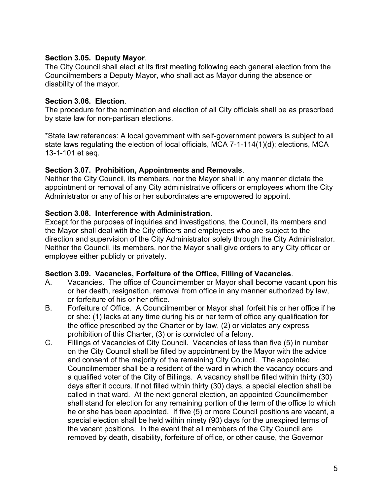#### **Section 3.05. Deputy Mayor**.

The City Council shall elect at its first meeting following each general election from the Councilmembers a Deputy Mayor, who shall act as Mayor during the absence or disability of the mayor.

#### **Section 3.06. Election**.

The procedure for the nomination and election of all City officials shall be as prescribed by state law for non-partisan elections.

\*State law references: A local government with self-government powers is subject to all state laws regulating the election of local officials, MCA 7-1-114(1)(d); elections, MCA 13-1-101 et seq.

#### **Section 3.07. Prohibition, Appointments and Removals**.

Neither the City Council, its members, nor the Mayor shall in any manner dictate the appointment or removal of any City administrative officers or employees whom the City Administrator or any of his or her subordinates are empowered to appoint.

### **Section 3.08. Interference with Administration**.

Except for the purposes of inquiries and investigations, the Council, its members and the Mayor shall deal with the City officers and employees who are subject to the direction and supervision of the City Administrator solely through the City Administrator. Neither the Council, its members, nor the Mayor shall give orders to any City officer or employee either publicly or privately.

### **Section 3.09. Vacancies, Forfeiture of the Office, Filling of Vacancies**.

- A. Vacancies. The office of Councilmember or Mayor shall become vacant upon his or her death, resignation, removal from office in any manner authorized by law, or forfeiture of his or her office.
- B. Forfeiture of Office. A Councilmember or Mayor shall forfeit his or her office if he or she: (1) lacks at any time during his or her term of office any qualification for the office prescribed by the Charter or by law, (2) or violates any express prohibition of this Charter, (3) or is convicted of a felony.
- C. Fillings of Vacancies of City Council. Vacancies of less than five (5) in number on the City Council shall be filled by appointment by the Mayor with the advice and consent of the majority of the remaining City Council. The appointed Councilmember shall be a resident of the ward in which the vacancy occurs and a qualified voter of the City of Billings. A vacancy shall be filled within thirty (30) days after it occurs. If not filled within thirty (30) days, a special election shall be called in that ward. At the next general election, an appointed Councilmember shall stand for election for any remaining portion of the term of the office to which he or she has been appointed. If five (5) or more Council positions are vacant, a special election shall be held within ninety (90) days for the unexpired terms of the vacant positions. In the event that all members of the City Council are removed by death, disability, forfeiture of office, or other cause, the Governor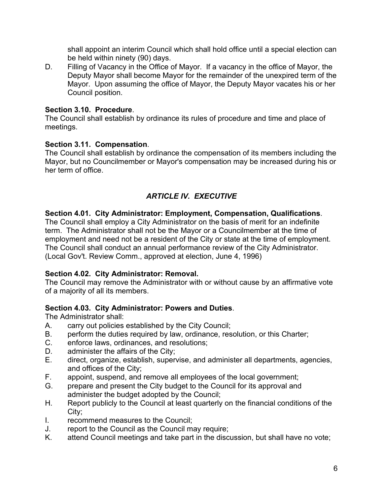shall appoint an interim Council which shall hold office until a special election can be held within ninety (90) days.

D. Filling of Vacancy in the Office of Mayor. If a vacancy in the office of Mayor, the Deputy Mayor shall become Mayor for the remainder of the unexpired term of the Mayor. Upon assuming the office of Mayor, the Deputy Mayor vacates his or her Council position.

#### **Section 3.10. Procedure**.

The Council shall establish by ordinance its rules of procedure and time and place of meetings.

#### **Section 3.11. Compensation**.

The Council shall establish by ordinance the compensation of its members including the Mayor, but no Councilmember or Mayor's compensation may be increased during his or her term of office.

## *ARTICLE IV. EXECUTIVE*

#### **Section 4.01. City Administrator: Employment, Compensation, Qualifications**.

The Council shall employ a City Administrator on the basis of merit for an indefinite term. The Administrator shall not be the Mayor or a Councilmember at the time of employment and need not be a resident of the City or state at the time of employment. The Council shall conduct an annual performance review of the City Administrator. (Local Gov't. Review Comm., approved at election, June 4, 1996)

#### **Section 4.02. City Administrator: Removal.**

The Council may remove the Administrator with or without cause by an affirmative vote of a majority of all its members.

#### **Section 4.03. City Administrator: Powers and Duties**.

The Administrator shall:

- A. carry out policies established by the City Council;
- B. perform the duties required by law, ordinance, resolution, or this Charter;
- C. enforce laws, ordinances, and resolutions;
- D. administer the affairs of the City;
- E. direct, organize, establish, supervise, and administer all departments, agencies, and offices of the City;
- F. appoint, suspend, and remove all employees of the local government;<br>G. prepare and present the City budget to the Council for its approval and
- prepare and present the City budget to the Council for its approval and administer the budget adopted by the Council;
- H. Report publicly to the Council at least quarterly on the financial conditions of the City;
- I. recommend measures to the Council;
- J. report to the Council as the Council may require;
- K. attend Council meetings and take part in the discussion, but shall have no vote;